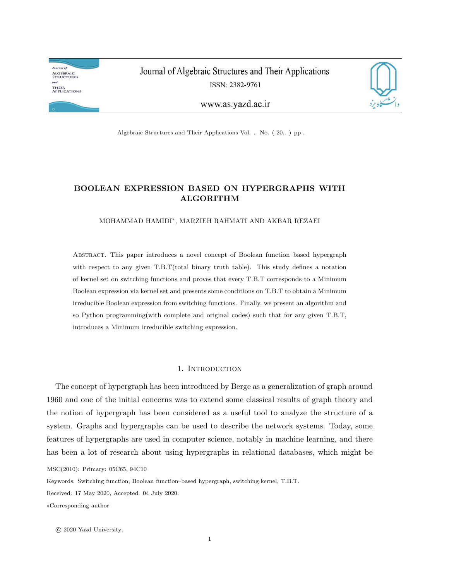**Journal** of **ALGEBRAIC<br>STRUCTURES** and THEIR<br>Applications

Journal of Algebraic Structures and Their Applications ISSN: 2382-9761



www.as.yazd.ac.ir

Algebraic Structures and Their Applications Vol. .. No. ( 20.. ) pp .

# **BOOLEAN EXPRESSION BASED ON HYPERGRAPHS WITH ALGORITHM**

MOHAMMAD HAMIDI*<sup>∗</sup>* , MARZIEH RAHMATI AND AKBAR REZAEI

Abstract. This paper introduces a novel concept of Boolean function–based hypergraph with respect to any given T.B.T(total binary truth table). This study defines a notation of kernel set on switching functions and proves that every T.B.T corresponds to a Minimum Boolean expression via kernel set and presents some conditions on T.B.T to obtain a Minimum irreducible Boolean expression from switching functions. Finally, we present an algorithm and so Python programming(with complete and original codes) such that for any given T.B.T, introduces a Minimum irreducible switching expression.

## 1. INTRODUCTION

The concept of hypergraph has been introduced by Berge as a generalization of graph around 1960 and one of the initial concerns was to extend some classical results of graph theory and the notion of hypergraph has been considered as a useful tool to analyze the structure of a system. Graphs and hypergraphs can be used to describe the network systems. Today, some features of hypergraphs are used in computer science, notably in machine learning, and there has been a lot of research about using hypergraphs in relational databases, which might be

MSC(2010): Primary: 05C65, 94C10

*⃝*<sup>c</sup> 2020 Yazd University.

Keywords: Switching function, Boolean function–based hypergraph, switching kernel, T.B.T.

Received: 17 May 2020, Accepted: 04 July 2020.

*<sup>∗</sup>*Corresponding author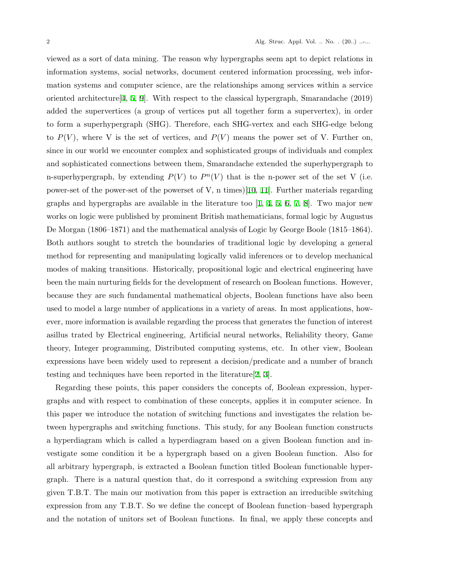viewed as a sort of data mining. The reason why hypergraphs seem apt to depict relations in information systems, social networks, document centered information processing, web information systems and computer science, are the relationships among services within a service oriented architecture [[4](#page-18-0), [5,](#page-18-1) [9](#page-18-2)]. With respect to the classical hypergraph, Smarandache (2019) added the supervertices (a group of vertices put all together form a supervertex), in order to form a superhypergraph (SHG). Therefore, each SHG-vertex and each SHG-edge belong to  $P(V)$ , where V is the set of vertices, and  $P(V)$  means the power set of V. Further on, since in our world we encounter complex and sophisticated groups of individuals and complex and sophisticated connections between them, Smarandache extended the superhypergraph to n-superhypergraph, by extending  $P(V)$  to  $P^{n}(V)$  that is the n-power set of the set V (i.e. power-set of the power-set of the powerset of V, n times)[[10,](#page-18-3) [11](#page-18-4)]. Further materials regarding graphs and hypergraphs are available in the literature too  $[1, 4, 5, 6, 7, 8]$  $[1, 4, 5, 6, 7, 8]$  $[1, 4, 5, 6, 7, 8]$  $[1, 4, 5, 6, 7, 8]$  $[1, 4, 5, 6, 7, 8]$  $[1, 4, 5, 6, 7, 8]$  $[1, 4, 5, 6, 7, 8]$  $[1, 4, 5, 6, 7, 8]$  $[1, 4, 5, 6, 7, 8]$  $[1, 4, 5, 6, 7, 8]$  $[1, 4, 5, 6, 7, 8]$ . Two major new works on logic were published by prominent British mathematicians, formal logic by Augustus De Morgan (1806–1871) and the mathematical analysis of Logic by George Boole (1815–1864). Both authors sought to stretch the boundaries of traditional logic by developing a general method for representing and manipulating logically valid inferences or to develop mechanical modes of making transitions. Historically, propositional logic and electrical engineering have been the main nurturing fields for the development of research on Boolean functions. However, because they are such fundamental mathematical objects, Boolean functions have also been used to model a large number of applications in a variety of areas. In most applications, however, more information is available regarding the process that generates the function of interest asillus trated by Electrical engineering, Artificial neural networks, Reliability theory, Game theory, Integer programming, Distributed computing systems, etc. In other view, Boolean expressions have been widely used to represent a decision/predicate and a number of branch testing and techniques have been reported in the literature[[2](#page-18-9), [3](#page-18-10)].

Regarding these points, this paper considers the concepts of, Boolean expression, hypergraphs and with respect to combination of these concepts, applies it in computer science. In this paper we introduce the notation of switching functions and investigates the relation between hypergraphs and switching functions. This study, for any Boolean function constructs a hyperdiagram which is called a hyperdiagram based on a given Boolean function and investigate some condition it be a hypergraph based on a given Boolean function. Also for all arbitrary hypergraph, is extracted a Boolean function titled Boolean functionable hypergraph. There is a natural question that, do it correspond a switching expression from any given T.B.T. The main our motivation from this paper is extraction an irreducible switching expression from any T.B.T. So we define the concept of Boolean function–based hypergraph and the notation of unitors set of Boolean functions. In final, we apply these concepts and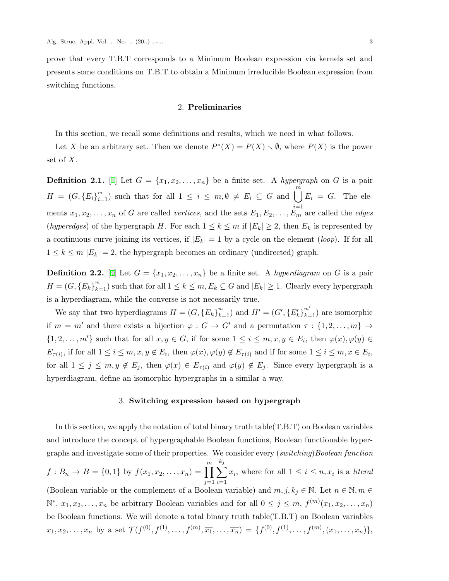prove that every T.B.T corresponds to a Minimum Boolean expression via kernels set and presents some conditions on T.B.T to obtain a Minimum irreducible Boolean expression from switching functions.

### 2. **Preliminaries**

In this section, we recall some definitions and results, which we need in what follows.

Let *X* be an arbitrary set. Then we denote  $P^*(X) = P(X) \setminus \emptyset$ , where  $P(X)$  is the power set of *X*.

**Definition 2.1.** [\[1\]](#page-18-5) Let  $G = \{x_1, x_2, \ldots, x_n\}$  be a finite set. A *hypergraph* on *G* is a pair  $H = (G, \{E_i\}_{i=1}^m)$ *<sup>i</sup>*=1) such that for all 1 *<sup>≤</sup> <sup>i</sup> <sup>≤</sup> m, ∅ ̸*<sup>=</sup> *<sup>E</sup><sup>i</sup> <sup>⊆</sup> <sup>G</sup>* and <sup>∪</sup>*<sup>m</sup> E<sup>i</sup>* = *G*. The elements  $x_1, x_2, \ldots, x_n$  of *G* are called *vertices*, and the sets  $E_1, E_2, \ldots, E_m$  are called the *edges* (*hyperedges*) of the hypergraph *H*. For each  $1 \leq k \leq m$  if  $|E_k| \geq 2$ , then  $E_k$  is represented by a continuous curve joining its vertices, if  $|E_k| = 1$  by a cycle on the element *(loop)*. If for all  $1 \leq k \leq m$   $|E_k| = 2$ , the hypergraph becomes an ordinary (undirected) graph.

**Definition 2.2.** [\[4\]](#page-18-0) Let  $G = \{x_1, x_2, \ldots, x_n\}$  be a finite set. A *hyperdiagram* on *G* is a pair  $H = (G, \{E_k\}_{k=1}^m)$  such that for all  $1 \leq k \leq m, E_k \subseteq G$  and  $|E_k| \geq 1$ . Clearly every hypergraph is a hyperdiagram, while the converse is not necessarily true.

We say that two hyperdiagrams  $H = (G, \{E_k\}_{k=1}^m)$  and  $H' = (G', \{E'_k\}_{k=1}^{m'})$  are isomorphic if  $m = m'$  and there exists a bijection  $\varphi : G \to G'$  and a permutation  $\tau : \{1, 2, \ldots, m\} \to$  $\{1,2,\ldots,m'\}$  such that for all  $x,y\in G$ , if for some  $1\leq i\leq m,x,y\in E_i$ , then  $\varphi(x),\varphi(y)\in G$  $E_{\tau(i)}$ , if for all  $1 \leq i \leq m, x, y \notin E_i$ , then  $\varphi(x), \varphi(y) \notin E_{\tau(i)}$  and if for some  $1 \leq i \leq m, x \in E_i$ , for all  $1 \leq j \leq m, y \notin E_j$ , then  $\varphi(x) \in E_{\tau(i)}$  and  $\varphi(y) \notin E_j$ . Since every hypergraph is a hyperdiagram, define an isomorphic hypergraphs in a similar a way.

### 3. **Switching expression based on hypergraph**

In this section, we apply the notation of total binary truth table(T.B.T) on Boolean variables and introduce the concept of hypergraphable Boolean functions, Boolean functionable hypergraphs and investigate some of their properties. We consider every (*switching*)*Boolean function*  $f: B_n \to B = \{0, 1\}$  by  $f(x_1, x_2, \ldots, x_n) = \prod^m$ *j*=1 ∑ *kj i*=1  $\overline{x_i}$ , where for all  $1 \leq i \leq n, \overline{x_i}$  is a *literal* (Boolean variable or the complement of a Boolean variable) and  $m, j, k_j \in \mathbb{N}$ . Let  $n \in \mathbb{N}, m \in$  $\mathbb{N}^*, x_1, x_2, \ldots, x_n$  be arbitrary Boolean variables and for all 0 ≤ *j* ≤ *m*,  $f^{(m)}(x_1, x_2, \ldots, x_n)$ be Boolean functions. We will denote a total binary truth table(T.B.T) on Boolean variables  $x_1, x_2, \ldots, x_n$  by a set  $\mathcal{T}(f^{(0)}, f^{(1)}, \ldots, f^{(m)}, \overline{x_1}, \ldots, \overline{x_n}) = \{f^{(0)}, f^{(1)}, \ldots, f^{(m)}, (x_1, \ldots, x_n)\},$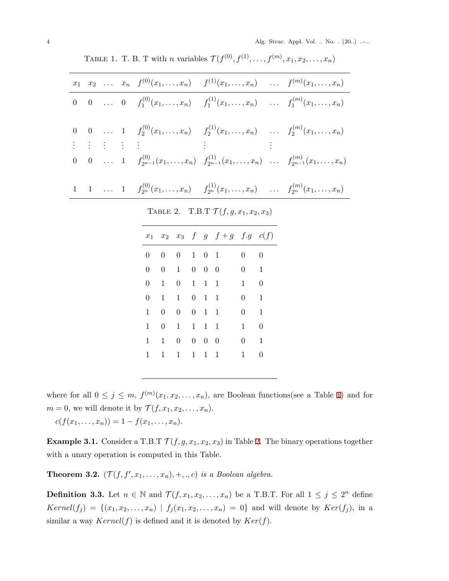|  |  | $x_1$ $x_2$ $x_n$ $f^{(0)}(x_1,,x_n)$ $f^{(1)}(x_1,,x_n)$ $f^{(m)}(x_1,,x_n)$                                      |  |
|--|--|--------------------------------------------------------------------------------------------------------------------|--|
|  |  | 0 0  0 $f_1^{(0)}(x_1,,x_n)$ $f_1^{(1)}(x_1,,x_n)$ $f_1^{(m)}(x_1,,x_n)$                                           |  |
|  |  | 0 0  1 $f_2^{(0)}(x_1,,x_n)$ $f_2^{(1)}(x_1,,x_n)$ $f_2^{(m)}(x_1,,x_n)$<br>: : : : : : : : : : :                  |  |
|  |  |                                                                                                                    |  |
|  |  | 0 0  1 $f_{2^{n-1}}^{(0)}(x_1,\ldots,x_n)$ $f_{2^{n-1}}^{(1)}(x_1,\ldots,x_n)$ $f_{2^{n-1}}^{(m)}(x_1,\ldots,x_n)$ |  |
|  |  | 1 1  1 $f_{2^n}^{(0)}(x_1,\ldots,x_n)$ $f_{2^n}^{(1)}(x_1,\ldots,x_n)$ $f_{2^n}^{(m)}(x_1,\ldots,x_n)$             |  |

<span id="page-3-0"></span>TABLE 1. T. B. T with *n* variables  $\mathcal{T}(f^{(0)}, f^{(1)}, \ldots, f^{(m)}, x_1, x_2, \ldots, x_n)$ 

<span id="page-3-1"></span>TABLE 2. T.B.T  $\mathcal{T}(f, g, x_1, x_2, x_3)$ 

|                |              |                |                    |                     |                   | $x_1$ $x_2$ $x_3$ f g $f+g$ f.g $c(f)$ |                |                |
|----------------|--------------|----------------|--------------------|---------------------|-------------------|----------------------------------------|----------------|----------------|
|                | 0            | $\overline{0}$ | $0 \t 1 \t 0 \t 1$ |                     |                   |                                        | $\theta$       | 0              |
| $\overline{0}$ |              | $\overline{0}$ | 1                  | $0 \quad 0 \quad 0$ |                   |                                        | $\overline{0}$ | $\mathbf{1}$   |
| $\overline{0}$ |              | 1              | $0 \quad 1$        |                     | 1 1               |                                        | $\mathbf{1}$   | $\overline{0}$ |
| $\overline{0}$ |              | 1              | 1                  | $0 \quad 1 \quad 1$ |                   |                                        | $\overline{0}$ | $\mathbf{1}$   |
| $\mathbf{1}$   |              | $\overline{0}$ | 0                  | $0 \quad 1 \quad 1$ |                   |                                        | $\overline{0}$ | 1              |
| 1              |              | $\overline{0}$ | 1                  | 1                   | 1                 | $\mathbf 1$                            | 1              | $\overline{0}$ |
| 1              |              | $\mathbf{1}$   | 0                  |                     | $0\quad 0\quad 0$ |                                        | $\theta$       | $\mathbf{1}$   |
|                | $\mathbf{1}$ | 1              | 1                  | 1                   | $\mathbf{1}$      | $\mathbf{1}$                           | $\mathbf{1}$   | $\overline{0}$ |
|                |              |                |                    |                     |                   |                                        |                |                |

where for all  $0 \leq j \leq m$ ,  $f^{(m)}(x_1, x_2, \ldots, x_n)$ , are Boolean functions(see a Table [1\)](#page-3-0) and for *m* = 0, we will denote it by  $\mathcal{T}(f, x_1, x_2, \dots, x_n)$ .

 $c(f(x_1, \ldots, x_n)) = 1 - f(x_1, \ldots, x_n).$ 

**Example 3.1.** Consider a T.B.T  $\mathcal{T}(f, g, x_1, x_2, x_3)$  $\mathcal{T}(f, g, x_1, x_2, x_3)$  $\mathcal{T}(f, g, x_1, x_2, x_3)$  in Table 2. The binary operations together with a unary operation is computed in this Table.

**Theorem 3.2.**  $(\mathcal{T}(f, f', x_1, \ldots, x_n), +, \ldots, c)$  *is a Boolean algebra.* 

**Definition 3.3.** Let  $n \in \mathbb{N}$  and  $\mathcal{T}(f, x_1, x_2, \ldots, x_n)$  be a T.B.T. For all  $1 \leq j \leq 2^n$  define  $Kernel(f_j) = \{(x_1, x_2, \ldots, x_n) | f_j(x_1, x_2, \ldots, x_n) = 0\}$  and will denote by  $Ker(f_j)$ , in a similar a way  $Kernel(f)$  is defined and it is denoted by  $Ker(f)$ .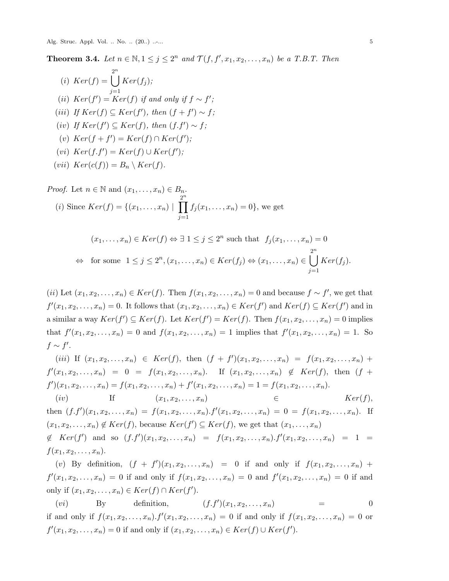Alg. Struc. Appl. Vol. .. No. .. (20..) ...... 5

<span id="page-4-0"></span>**Theorem 3.4.** Let  $n \in \mathbb{N}, 1 \leq j \leq 2^n$  and  $\mathcal{T}(f, f', x_1, x_2, \ldots, x_n)$  be a T.B.T. Then

(i) 
$$
Ker(f) = \bigcup_{j=1}^{2^n} Ker(f_j);
$$
  
\n(ii)  $Ker(f') = Ker(f)$  if and only if  $f \sim f';$   
\n(iii) If  $Ker(f) \subseteq Ker(f'),$  then  $(f + f') \sim f;$   
\n(iv) If  $Ker(f') \subseteq Ker(f),$  then  $(f.f') \sim f;$   
\n(v)  $Ker(f + f') = Ker(f) \cap Ker(f');$   
\n(vi)  $Ker(f.f') = Ker(f) \cup Ker(f');$   
\n(vii)  $Ker(c(f)) = B_n \setminus Ker(f).$ 

Proof. Let 
$$
n \in \mathbb{N}
$$
 and  $(x_1, ..., x_n) \in B_n$ .  
\n(i) Since  $Ker(f) = \{(x_1, ..., x_n) \mid \prod_{j=1}^{2^n} f_j(x_1, ..., x_n) = 0\}$ , we get  
\n $(x_1, ..., x_n) \in Ker(f) \Leftrightarrow \exists 1 \le j \le 2^n$  such that  $f_j(x_1, ..., x_n) = 0$   
\n $\Leftrightarrow$  for some  $1 \le j \le 2^n, (x_1, ..., x_n) \in Ker(f_j) \Leftrightarrow (x_1, ..., x_n) \in \bigcup_{j=1}^{2^n} Ker(f_j)$ .

 $(iii)$  Let  $(x_1, x_2, \ldots, x_n) \in Ker(f)$ . Then  $f(x_1, x_2, \ldots, x_n) = 0$  and because  $f \sim f'$ , we get that  $f'(x_1, x_2, \ldots, x_n) = 0$ . It follows that  $(x_1, x_2, \ldots, x_n) \in Ker(f')$  and  $Ker(f) \subseteq Ker(f')$  and in a similar a way  $Ker(f') \subseteq Ker(f)$ . Let  $Ker(f') = Ker(f)$ . Then  $f(x_1, x_2, \ldots, x_n) = 0$  implies that  $f'(x_1, x_2,...,x_n) = 0$  and  $f(x_1, x_2,...,x_n) = 1$  implies that  $f'(x_1, x_2,...,x_n) = 1$ . So  $f$  ∼  $f'$ .

(*iii*) If 
$$
(x_1, x_2, ..., x_n) \in Ker(f)
$$
, then  $(f + f')(x_1, x_2, ..., x_n) = f(x_1, x_2, ..., x_n) + f'(x_1, x_2, ..., x_n) = 0 = f(x_1, x_2, ..., x_n)$ . If  $(x_1, x_2, ..., x_n) \notin Ker(f)$ , then  $(f + f')(x_1, x_2, ..., x_n) = f(x_1, x_2, ..., x_n) + f'(x_1, x_2, ..., x_n) = 1 = f(x_1, x_2, ..., x_n)$ .

(*iv*) If  $(x_1, x_2, \ldots, x_n)$   $\in$   $Ker(f)$ , then  $(f.f')(x_1, x_2,...,x_n) = f(x_1, x_2,...,x_n) \cdot f'(x_1, x_2,...,x_n) = 0 = f(x_1, x_2,...,x_n)$ . If  $(x_1, x_2, \ldots, x_n) \notin \text{Ker}(f)$ , because  $\text{Ker}(f') \subseteq \text{Ker}(f)$ , we get that  $(x_1, \ldots, x_n)$  $\notin Ker(f')$  and so  $(f.f')(x_1, x_2, \ldots, x_n) = f(x_1, x_2, \ldots, x_n) \cdot f'(x_1, x_2, \ldots, x_n) = 1 =$ 

 $f(x_1, x_2, \ldots, x_n)$ .

(*v*) By definition,  $(f + f')(x_1, x_2, ..., x_n) = 0$  if and only if  $f(x_1, x_2, ..., x_n) +$  $f'(x_1, x_2, \ldots, x_n) = 0$  if and only if  $f(x_1, x_2, \ldots, x_n) = 0$  and  $f'(x_1, x_2, \ldots, x_n) = 0$  if and only if  $(x_1, x_2, ..., x_n)$  ∈  $Ker(f) ∩ Ker(f')$ .

(*vi*) By definition,  $(f.f')(x_1, x_2, \ldots, x_n)$  = 0 if and only if  $f(x_1, x_2, \ldots, x_n) \cdot f'(x_1, x_2, \ldots, x_n) = 0$  if and only if  $f(x_1, x_2, \ldots, x_n) = 0$  or *f*<sup>'</sup>(*x*<sub>1</sub>*, x*<sub>2</sub>*, . . . , <i>x*<sub>n</sub>) = 0 if and only if (*x*<sub>1</sub>*, x*<sub>2</sub>*, . . . , x<sub>n</sub>*) ∈ *Ker*(*f*) ∪ *Ker*(*f*<sup>'</sup>).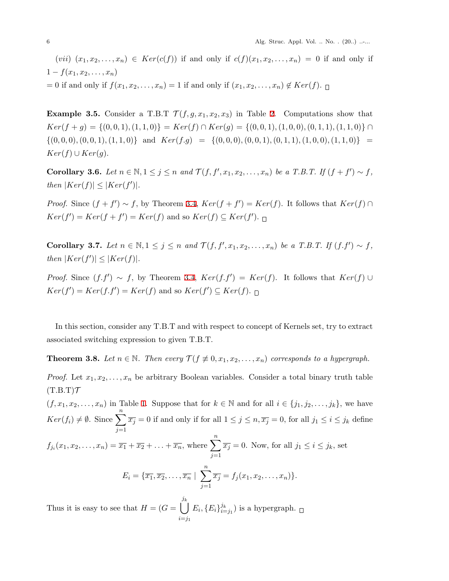6 Alg. Struc. Appl. Vol. .. No. . (20..) ......

(*vii*)  $(x_1, x_2, \ldots, x_n) \in Ker(c(f))$  if and only if  $c(f)(x_1, x_2, \ldots, x_n) = 0$  if and only if  $1 - f(x_1, x_2, \ldots, x_n)$  $f(x_1, x_2, \ldots, x_n) = 1$  if and only if  $(x_1, x_2, \ldots, x_n) \notin Ker(f)$ .

**Example 3.5.** Consider a T.B.T  $\mathcal{T}(f, g, x_1, x_2, x_3)$  in Table [2.](#page-3-1) Computations show that  $Ker(f+g) = \{(0,0,1), (1,1,0)\} = Ker(f) \cap Ker(g) = \{(0,0,1), (1,0,0), (0,1,1), (1,1,0)\} \cap$  $\{(0,0,0), (0,0,1), (1,1,0)\}\$ and  $Ker(f.g) = \{(0,0,0), (0,0,1), (0,1,1), (1,0,0), (1,1,0)\}\$  $Ker(f) \cup Ker(g).$ 

**Corollary 3.6.** Let  $n \in \mathbb{N}, 1 \leq j \leq n$  and  $\mathcal{T}(f, f', x_1, x_2, \ldots, x_n)$  be a T.B.T. If  $(f + f') \sim f$ ,  $|Ker(f)| \leq |Ker(f')|$ .

*Proof.* Since  $(f + f') \sim f$ , by Theorem [3.4,](#page-4-0)  $Ker(f + f') = Ker(f)$ . It follows that  $Ker(f) \cap f'$  $Ker(f') = Ker(f + f') = Ker(f)$  and so  $Ker(f) \subseteq Ker(f')$ .

**Corollary 3.7.** Let  $n \in \mathbb{N}, 1 \leq j \leq n$  and  $\mathcal{T}(f, f', x_1, x_2, \ldots, x_n)$  be a T.B.T. If  $(f, f') \sim f$ ,  $|Ker(f')| \leq |Ker(f)|$ .

*Proof.* Since  $(f.f') \sim f$ , by Theorem [3.4,](#page-4-0)  $Ker(f.f') = Ker(f)$ . It follows that  $Ker(f) \cup$  $Ker(f') = Ker(f.f') = Ker(f)$  and so  $Ker(f') \subseteq Ker(f)$ .

In this section, consider any T.B.T and with respect to concept of Kernels set, try to extract associated switching expression to given T.B.T.

<span id="page-5-0"></span>**Theorem 3.8.** *Let*  $n \in \mathbb{N}$ *. Then every*  $\mathcal{T}(f \not\equiv 0, x_1, x_2, \ldots, x_n)$  *corresponds to a hypergraph.* 

*Proof.* Let  $x_1, x_2, \ldots, x_n$  be arbitrary Boolean variables. Consider a total binary truth table  $(T.B.T)\mathcal{T}$ 

 $(f, x_1, x_2, \ldots, x_n)$  $(f, x_1, x_2, \ldots, x_n)$  $(f, x_1, x_2, \ldots, x_n)$  in Table 1. Suppose that for  $k \in \mathbb{N}$  and for all  $i \in \{j_1, j_2, \ldots, j_k\}$ , we have  $Ker(f_i) \neq \emptyset$ . Since  $\sum_{i=1}^{n}$ *j*=1  $\overline{x_j} = 0$  if and only if for all  $1 \leq j \leq n, \overline{x_j} = 0$ , for all  $j_1 \leq i \leq j_k$  define

$$
f_{j_i}(x_1, x_2, \dots, x_n) = \overline{x_1} + \overline{x_2} + \dots + \overline{x_n}, \text{ where } \sum_{j=1}^n \overline{x_j} = 0. \text{ Now, for all } j_1 \le i \le j_k, \text{ set}
$$

$$
E_i = \{ \overline{x_1}, \overline{x_2}, \dots, \overline{x_n} \mid \sum_{j=1}^n \overline{x_j} = f_j(x_1, x_2, \dots, x_n) \}.
$$

Thus it is easy to see that  $H = (G = \begin{bmatrix} j_k \end{bmatrix})$ *i*=*j*<sup>1</sup>  $E_i, \{E_i\}_{i=1}^{j_k}$  $\binom{J_k}{i=j_1}$  is a hypergraph.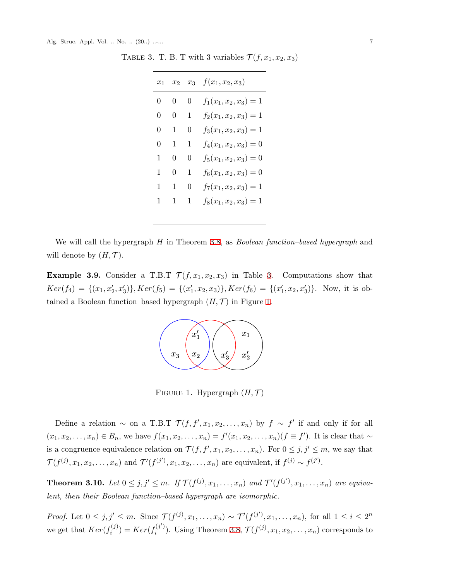TABLE 3. T. B. T with 3 variables  $\mathcal{T}(f, x_1, x_2, x_3)$ 

<span id="page-6-0"></span>

| $x_1$             |   |          | $x_2$ $x_3$ $f(x_1, x_2, x_3)$ |
|-------------------|---|----------|--------------------------------|
| $\hspace{.08cm}0$ | 0 | 0        | $f_1(x_1, x_2, x_3) = 1$       |
| 0                 | 0 | 1        | $f_2(x_1, x_2, x_3) = 1$       |
| 0                 | 1 | $\theta$ | $f_3(x_1, x_2, x_3) = 1$       |
| 0                 | 1 | 1        | $f_4(x_1, x_2, x_3) = 0$       |
| 1                 | 0 | 0        | $f_5(x_1, x_2, x_3) = 0$       |
| 1                 | 0 | 1        | $f_6(x_1, x_2, x_3) = 0$       |
| 1                 | 1 | $\theta$ | $f_7(x_1, x_2, x_3) = 1$       |
| $1\,$             |   | 1        | $f_8(x_1, x_2, x_3) = 1$       |

We will call the hypergraph *H* in Theorem [3.8,](#page-5-0) as *Boolean function–based hypergraph* and will denote by  $(H, \mathcal{T})$ .

**Example [3.](#page-6-0)9.** Consider a T.B.T  $\mathcal{T}(f, x_1, x_2, x_3)$  in Table 3. Computations show that  $Ker(f_4) = \{(x_1, x_2', x_3')\}, Ker(f_5) = \{(x_1', x_2, x_3)\}, Ker(f_6) = \{(x_1', x_2, x_3')\}.$  Now, it is obtained a Boolean function–based hypergraph  $(H, \mathcal{T})$  in Figure [1](#page-6-1).



<span id="page-6-1"></span>FIGURE 1. Hypergraph  $(H, \mathcal{T})$ 

Define a relation  $\sim$  on a T.B.T  $\mathcal{T}(f, f', x_1, x_2, \ldots, x_n)$  by  $f \sim f'$  if and only if for all  $(x_1, x_2, \ldots, x_n) \in B_n$ , we have  $f(x_1, x_2, \ldots, x_n) = f'(x_1, x_2, \ldots, x_n)$   $(f \equiv f')$ . It is clear that  $\sim$ is a congruence equivalence relation on  $\mathcal{T}(f, f', x_1, x_2, \ldots, x_n)$ . For  $0 \leq j, j' \leq m$ , we say that  $\mathcal{T}(f^{(j)}, x_1, x_2, \ldots, x_n)$  and  $\mathcal{T}'(f^{(j')}, x_1, x_2, \ldots, x_n)$  are equivalent, if  $f^{(j)} \sim f^{(j')}$ .

**Theorem 3.10.** Let  $0 \leq j, j' \leq m$ . If  $\mathcal{T}(f^{(j)}, x_1, \ldots, x_n)$  and  $\mathcal{T}'(f^{(j')}, x_1, \ldots, x_n)$  are equiva*lent, then their Boolean function–based hypergraph are isomorphic.*

*Proof.* Let  $0 \leq j, j' \leq m$ . Since  $\mathcal{T}(f^{(j)}, x_1, \ldots, x_n) \sim \mathcal{T}'(f^{(j')}, x_1, \ldots, x_n)$ , for all  $1 \leq i \leq 2^n$ we get that  $Ker(f_i^{(j)})$  $F_i^{(j)}$  = *Ker*( $f_i^{(j')}$  $f_i^{(j')}$ ). Using Theorem [3.8](#page-5-0),  $\mathcal{T}(f^{(j)}, x_1, x_2, \ldots, x_n)$  corresponds to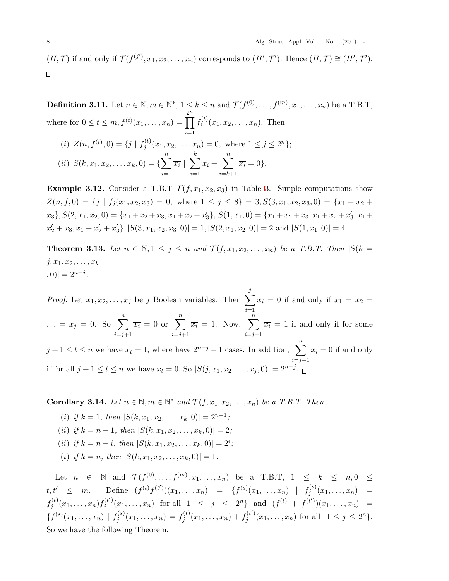$(H,\mathcal{T})$  if and only if  $\mathcal{T}(f^{(j')},x_1,x_2,\ldots,x_n)$  corresponds to  $(H',\mathcal{T}')$ . Hence  $(H,\mathcal{T}) \cong (H',\mathcal{T}')$ .  $\Box$ 

**Definition 3.11.** Let  $n \in \mathbb{N}, m \in \mathbb{N}^*, 1 \leq k \leq n$  and  $\mathcal{T}(f^{(0)}, \ldots, f^{(m)}, x_1, \ldots, x_n)$  be a T.B.T, where for  $0 \le t \le m, f^{(t)}(x_1, ..., x_n) =$ 2 ∏*n i*=1  $f_i^{(t)}$  $a_i^{(t)}(x_1, x_2, \ldots, x_n)$ . Then

(i) 
$$
Z(n, f^{(t)}, 0) = \{j \mid f_j^{(t)}(x_1, x_2, ..., x_n) = 0, \text{ where } 1 \le j \le 2^n\};
$$
  
\n(ii)  $S(k, x_1, x_2, ..., x_k, 0) = \{\sum_{i=1}^n \overline{x_i} \mid \sum_{i=1}^k x_i + \sum_{i=k+1}^n \overline{x_i} = 0\}.$ 

**Example [3.](#page-6-0)12.** Consider a T.B.T  $\mathcal{T}(f, x_1, x_2, x_3)$  in Table 3. Simple computations show  $Z(n, f, 0) = \{j \mid f_i(x_1, x_2, x_3) = 0, \text{ where } 1 \leq j \leq 8\} = 3, S(3, x_1, x_2, x_3, 0) = \{x_1 + x_2 + x_3\}$  $x_3$ ,  $S(2, x_1, x_2, 0) = \{x_1 + x_2 + x_3, x_1 + x_2 + x_3'\}, S(1, x_1, 0) = \{x_1 + x_2 + x_3, x_1 + x_2 + x_3', x_1 + x_2\}$  $x'_2 + x_3$ ,  $x_1 + x'_2 + x'_3$ ,  $|S(3, x_1, x_2, x_3, 0)| = 1$ ,  $|S(2, x_1, x_2, 0)| = 2$  and  $|S(1, x_1, 0)| = 4$ .

**Theorem 3.13.** *Let n* ∈  $\mathbb{N}, 1 \leq j \leq n$  *and*  $\mathcal{T}(f, x_1, x_2, \ldots, x_n)$  *be a T.B.T. Then*  $|S(k = 1)|$  $j, x_1, x_2, \ldots, x_k$  $(0, 0)| = 2^{n-j}.$ 

*Proof.* Let  $x_1, x_2, \ldots, x_j$  be *j* Boolean variables. Then  $\sum_{i=1}^{j}$ *i*=1  $x_i = 0$  if and only if  $x_1 = x_2 =$  $\ldots = x_j = 0.$  So  $\sum_{i=1}^{n}$ *i*=*j*+1  $\overline{x_i} = 0$  or  $\sum_{i=1}^{n}$ *i*=*j*+1  $\overline{x_i} = 1$ . Now,  $\sum_{i=1}^{n}$ *i*=*j*+1  $\overline{x_i} = 1$  if and only if for some *j* + 1 ≤ *t* ≤ *n* we have  $\overline{x_t}$  = 1, where have  $2^{n-j} - 1$  cases. In addition,  $\sum_{i=1}^{n} \overline{x_i} = 0$  if and only *i*=*j*+1 if for all  $j + 1 \le t \le n$  we have  $\overline{x_t} = 0$ . So  $|S(j, x_1, x_2, \dots, x_j, 0)| = 2^{n-j}$ .

<span id="page-7-0"></span>**Corollary 3.14.** *Let*  $n \in \mathbb{N}$ ,  $m \in \mathbb{N}^*$  and  $\mathcal{T}(f, x_1, x_2, \ldots, x_n)$  *be a T.B.T. Then* 

 $(i)$  *if*  $k = 1$ *, then*  $|S(k, x_1, x_2, \dots, x_k, 0)| = 2^{n-1}$ ;  $(iii)$  *if*  $k = n - 1$ *, then*  $|S(k, x_1, x_2, \ldots, x_k, 0)| = 2$ ;  $(iii)$  *if*  $k = n - i$ , *then*  $|S(k, x_1, x_2, \dots, x_k, 0)| = 2^i$ ; (*i*) *if*  $k = n$ *, then*  $|S(k, x_1, x_2, \ldots, x_k, 0)| = 1$ *.* 

Let  $n \in \mathbb{N}$  and  $\mathcal{T}(f^{(0)}, \ldots, f^{(m)}, x_1, \ldots, x_n)$  be a T.B.T,  $1 \leq k \leq n, 0 \leq$  $t, t' \leq m.$  Define  $(f^{(t)}f^{(t')})(x_1, \ldots, x_n) = \{f^{(s)}(x_1, \ldots, x_n) \mid f^{(s)}_i\}$  $f_j^{(s)}(x_1, \ldots, x_n) =$  $f_i^{(t)}$  $f_j^{(t)}(x_1, \ldots, x_n) f_j^{(t')}$  $j^{(t)}(x_1, \ldots, x_n)$  for all  $1 \leq j \leq 2^n$  and  $(f^{(t)} + f^{(t')})(x_1, \ldots, x_n) =$  $\{f^{(s)}(x_1,\ldots,x_n) \mid f^{(s)}_i\}$  $f_j^{(s)}(x_1, \ldots, x_n) = f_j^{(t)}$  $f_j^{(t)}(x_1,\ldots,x_n)+f_j^{(t')}$  $j^{(t)}(x_1, \ldots, x_n)$  for all  $1 \leq j \leq 2^n$ . So we have the following Theorem.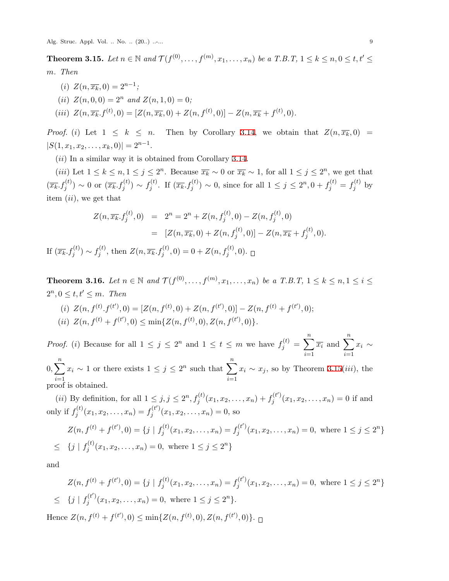Alg. Struc. Appl. Vol. .. No. .. (20..) ..-... 9

<span id="page-8-0"></span>**Theorem 3.15.** Let  $n \in \mathbb{N}$  and  $\mathcal{T}(f^{(0)}, \ldots, f^{(m)}, x_1, \ldots, x_n)$  be a T.B.T,  $1 \leq k \leq n, 0 \leq t, t' \leq t$ *m. Then*

- $(i)$   $Z(n, \overline{x_k}, 0) = 2^{n-1};$
- $(iii)$   $Z(n, 0, 0) = 2^n$  and  $Z(n, 1, 0) = 0$ ;
- (iii)  $Z(n, \overline{x_k}, f^{(t)}, 0) = [Z(n, \overline{x_k}, 0) + Z(n, f^{(t)}, 0)] Z(n, \overline{x_k} + f^{(t)}, 0).$

*Proof.* (*i*) Let  $1 \leq k \leq n$ . Then by Corollary [3.14](#page-7-0), we obtain that  $Z(n, \overline{x_k}, 0)$  $|S(1, x_1, x_2, \ldots, x_k, 0)| = 2^{n-1}.$ 

(*ii*) In a similar way it is obtained from Corollary [3.14.](#page-7-0)

(*iii*) Let  $1 \leq k \leq n, 1 \leq j \leq 2^n$ . Because  $\overline{x_k} \sim 0$  or  $\overline{x_k} \sim 1$ , for all  $1 \leq j \leq 2^n$ , we get that  $(\overline{x_k}.f_j^{(t)}) \sim 0$  or  $(\overline{x_k}.f_j^{(t)}) \sim f_j^{(t)}$ *j*(*t*). If  $(\overline{x_k}, f_j^{(t)}) \sim 0$ , since for all  $1 \leq j \leq 2^n, 0 + f_j^{(t)} = f_j^{(t)}$  $\int_j^{(\iota)}$  by item (*ii*), we get that

$$
Z(n, \overline{x_k}. f_j^{(t)}, 0) = 2^n = 2^n + Z(n, f_j^{(t)}, 0) - Z(n, f_j^{(t)}, 0)
$$
  

$$
= [Z(n, \overline{x_k}. 0) + Z(n, f_j^{(t)}, 0)] - Z(n, \overline{x_k} + f_j^{(t)}, 0).
$$

If  $(\overline{x_k}.f_j^{(t)}) \sim f_j^{(t)}$  $Z(n, \overline{x_k}, f_j^{(t)}, 0) = 0 + Z(n, f_j^{(t)}, 0).$ 

<span id="page-8-1"></span>**Theorem 3.16.** Let  $n \in \mathbb{N}$  and  $\mathcal{T}(f^{(0)}, \ldots, f^{(m)}, x_1, \ldots, x_n)$  be a T.B.T,  $1 \leq k \leq n, 1 \leq i \leq n$  $2^n, 0 \le t, t' \le m$ *. Then* 

(i)  $Z(n, f^{(t)}, f^{(t')}, 0) = [Z(n, f^{(t)}, 0) + Z(n, f^{(t')}, 0)] - Z(n, f^{(t)} + f^{(t')}, 0);$  $\{iii\} Z(n, f^{(t)}, 0) \le \min\{Z(n, f^{(t)}, 0), Z(n, f^{(t)}, 0)\}.$ 

*Proof.* (i) Because for all  $1 \le j \le 2^n$  and  $1 \le t \le m$  we have  $f_j^{(t)} = \sum_{i=1}^{n} \overline{x_i}$  and  $\sum_{i=1}^{n} x_i$ *i*=1 *i*=1  $\sum_{n=0}^{\infty}$ *i*=1  $x_i \sim 1$  or there exists  $1 \leq j \leq 2^n$  such that  $\sum_{i=1}^{n}$ *i*=1  $x_i \sim x_j$ , so by Theorem [3.15](#page-8-0)(*iii*), the proof is obtained.

(*ii*) By definition, for all  $1 \leq j, j \leq 2^n, f_j^{(t)}(x_1, x_2, \ldots, x_n) + f_j^{(t)}$  $g_j^{(t)}(x_1, x_2, \ldots, x_n) = 0$  if and only if  $f_i^{(t)}$  $f_j^{(t)}(x_1, x_2, \ldots, x_n) = f_j^{(t')}$  $g_j^{(t)}(x_1, x_2, \ldots, x_n) = 0$ , so

$$
Z(n, f^{(t)} + f^{(t')}, 0) = \{j \mid f_j^{(t)}(x_1, x_2, \dots, x_n) = f_j^{(t')}(x_1, x_2, \dots, x_n) = 0, \text{ where } 1 \le j \le 2^n\}
$$
  

$$
\leq \{j \mid f_j^{(t)}(x_1, x_2, \dots, x_n) = 0, \text{ where } 1 \le j \le 2^n\}
$$

and

$$
Z(n, f^{(t)} + f^{(t')}, 0) = \{j \mid f_j^{(t)}(x_1, x_2, \dots, x_n) = f_j^{(t')}(x_1, x_2, \dots, x_n) = 0, \text{ where } 1 \le j \le 2^n\}
$$
  

$$
\leq \{j \mid f_j^{(t')}(x_1, x_2, \dots, x_n) = 0, \text{ where } 1 \le j \le 2^n\}.
$$

Hence  $Z(n, f^{(t)} + f^{(t'')}, 0) \le \min\{Z(n, f^{(t)}, 0), Z(n, f^{(t')}, 0)\}.$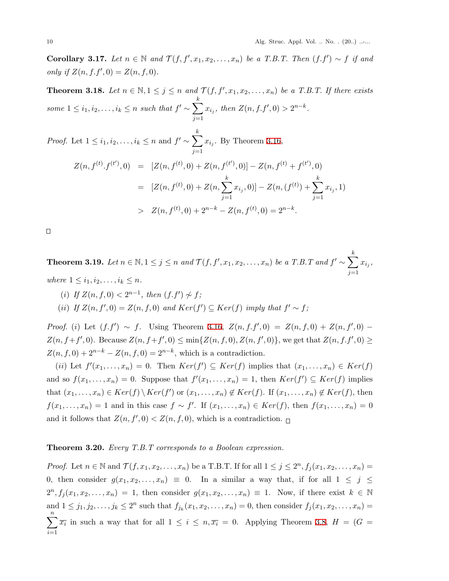**Corollary 3.17.** *Let*  $n \in \mathbb{N}$  *and*  $\mathcal{T}(f, f', x_1, x_2, \ldots, x_n)$  *be a T.B.T. Then*  $(f.f') ∼ f$  *if and only if*  $Z(n, f, f', 0) = Z(n, f, 0)$ *.* 

**Theorem 3.18.** Let  $n \in \mathbb{N}, 1 \leq j \leq n$  and  $\mathcal{T}(f, f', x_1, x_2, \ldots, x_n)$  be a T.B.T. If there exists *some*  $1 \leq i_1, i_2, \ldots, i_k \leq n$  *such that*  $f' \sim \sum^{k}$ *j*=1  $x_{i_j}$ , then  $Z(n, f.f', 0) > 2^{n-k}$ .

*Proof.* Let  $1 \leq i_1, i_2, \ldots, i_k \leq n$  and  $f' \sim \sum$ *j*=1  $x_{i_j}$ . By Theorem [3.16](#page-8-1),

$$
Z(n, f^{(t)}, f^{(t')}, 0) = [Z(n, f^{(t)}, 0) + Z(n, f^{(t')}, 0)] - Z(n, f^{(t)} + f^{(t')}, 0)
$$
  

$$
= [Z(n, f^{(t)}, 0) + Z(n, \sum_{j=1}^k x_{i_j}, 0)] - Z(n, (f^{(t)}) + \sum_{j=1}^k x_{i_j}, 1)
$$
  

$$
> Z(n, f^{(t)}, 0) + 2^{n-k} - Z(n, f^{(t)}, 0) = 2^{n-k}.
$$

 $\Box$ 

<span id="page-9-0"></span>**Theorem 3.19.** Let  $n \in \mathbb{N}, 1 \leq j \leq n$  and  $\mathcal{T}(f, f', x_1, x_2, \ldots, x_n)$  be a T.B.T and  $f' \sim \sum_{i=1}^k f(i)$ *j*=1  $x_{i_j}$ 

 $where$   $1 \leq i_1, i_2, \ldots, i_k \leq n$ .

(*i*) *If*  $Z(n, f, 0) < 2^{n-1}$ , then  $(f.f') \nsim f$ ;

 $(iii)$  *If*  $Z(n, f', 0) = Z(n, f, 0)$  and  $Ker(f') \subseteq Ker(f)$  *imply that*  $f' \sim f$ ;

*Proof.* (*i*) Let  $(f.f') \sim f$ . Using Theorem [3.16,](#page-8-1)  $Z(n, f.f', 0) = Z(n, f, 0) + Z(n, f', 0) Z(n, f+f', 0)$ . Because  $Z(n, f+f', 0) \le \min\{Z(n, f, 0), Z(n, f', 0)\}\,$ , we get that  $Z(n, f,f', 0) \ge$  $Z(n, f, 0) + 2^{n-k} - Z(n, f, 0) = 2^{n-k}$ , which is a contradiction.

 $(iii)$  Let  $f'(x_1, \ldots, x_n) = 0$ . Then  $Ker(f') \subseteq Ker(f)$  implies that  $(x_1, \ldots, x_n) \in Ker(f)$ and so  $f(x_1, \ldots, x_n) = 0$ . Suppose that  $f'(x_1, \ldots, x_n) = 1$ , then  $Ker(f') \subseteq Ker(f)$  implies that  $(x_1, \ldots, x_n) \in Ker(f) \setminus Ker(f')$  or  $(x_1, \ldots, x_n) \notin Ker(f)$ . If  $(x_1, \ldots, x_n) \notin Ker(f)$ , then  $f(x_1,\ldots,x_n) = 1$  and in this case  $f \sim f'$ . If  $(x_1,\ldots,x_n) \in Ker(f)$ , then  $f(x_1,\ldots,x_n) = 0$ and it follows that  $Z(n, f', 0) < Z(n, f, 0)$ , which is a contradiction.

## <span id="page-9-1"></span>**Theorem 3.20.** *Every T.B.T corresponds to a Boolean expression.*

*Proof.* Let  $n \in \mathbb{N}$  and  $\mathcal{T}(f, x_1, x_2, \ldots, x_n)$  be a T.B.T. If for all  $1 \leq j \leq 2^n$ ,  $f_j(x_1, x_2, \ldots, x_n)$ 0, then consider  $g(x_1, x_2, \ldots, x_n) \equiv 0$ . In a similar a way that, if for all  $1 \leq j \leq$  $2^n, f_j(x_1, x_2, \ldots, x_n) = 1$ , then consider  $g(x_1, x_2, \ldots, x_n) \equiv 1$ . Now, if there exist  $k \in \mathbb{N}$ and  $1 \le j_1, j_2, \ldots, j_k \le 2^n$  such that  $f_{j_k}(x_1, x_2, \ldots, x_n) = 0$ , then consider  $f_j(x_1, x_2, \ldots, x_n) =$ ∑*n i*=1  $\overline{x_i}$  in such a way that for all  $1 \leq i \leq n, \overline{x_i} = 0$ . Applying Theorem [3.8](#page-5-0),  $H = (G = 0)$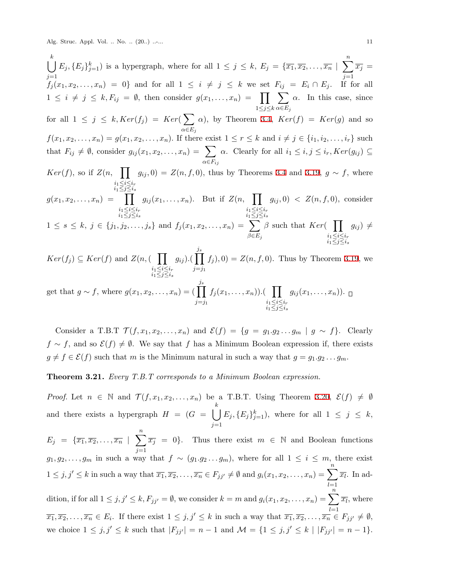Alg. Struc. Appl. Vol. .. No. .. (20..) ...... 11

∪ *k j*=1 *j*=1  $E_j, \{E_j\}_{j=1}^k$ ) is a hypergraph, where for all  $1 \leq j \leq k$ ,  $E_j = \{\overline{x_1}, \overline{x_2}, \ldots, \overline{x_n} \mid \sum_{j=1}^n \overline{x_j} =$  $f_j(x_1, x_2, \ldots, x_n) = 0$  and for all  $1 \leq i \neq j \leq k$  we set  $F_{ij} = E_i \cap E_j$ . If for all  $1 \leq i \neq j \leq k, F_{ij} = \emptyset$ , then consider  $g(x_1, \ldots, x_n) = \prod_{i=1}^{n}$ 1*≤j≤k* ∑ *α∈E<sup>j</sup>*  $\alpha$ . In this case, since for all  $1 \leq j \leq k$ ,  $Ker(f_j) = Ker(\sum$ *α∈E<sup>j</sup>*  $\alpha$ ), by Theorem [3.4,](#page-4-0)  $Ker(f) = Ker(g)$  and so  $f(x_1, x_2,...,x_n) = g(x_1, x_2,...,x_n)$ . If there exist  $1 \le r \le k$  and  $i \ne j \in \{i_1, i_2,...,i_r\}$  such that  $F_{ij} \neq \emptyset$ , consider  $g_{ij}(x_1, x_2, \ldots, x_n) = \sum$ *α∈Fij α*. Clearly for all  $i_1 ≤ i, j ≤ i_r, Ker(g_{ij}) ⊆$ *Ker*(*f*), so if  $Z(n, \prod g_{ij}, 0) = Z(n, f, 0)$ , thus by Theorems [3.4](#page-4-0) and [3.19](#page-9-0),  $g \sim f$ , where *i*1*≤i≤i<sup>r</sup> i*1*≤j≤i<sup>s</sup>*  $g(x_1, x_2, \ldots, x_n) = \prod$ *i*1*≤i≤i<sup>r</sup> i*1*≤j≤i<sup>s</sup>*  $g_{ij}(x_1, \ldots, x_n)$ . But if  $Z(n, \prod)$ *i*1*≤i≤i<sup>r</sup> i*1*≤j≤i<sup>s</sup>*  $g_{ij}, 0$   $\langle Z(n, f, 0), \text{ consider} \rangle$  $1 \leq s \leq k, j \in \{j_1, j_2, \ldots, j_s\}$  and  $f_j(x_1, x_2, \ldots, x_n) = \sum_{j=1}^n j_j(x_j, x_j, \ldots, x_n)$ *β∈E<sup>j</sup> β* such that *Ker*( ∏ *i*1*≤i≤i<sup>r</sup> i*1*≤j≤i<sup>s</sup>*  $g_{ij}$ )  $\neq$  $Ker(f_j) \subseteq Ker(f)$  and  $Z(n, \Box)$ *i*1*≤i≤i<sup>r</sup> i*1*≤j≤i<sup>s</sup>*  $g_{ij}$ ).( $\prod$ *j*=*j*<sup>1</sup>  $f_j(0) = Z(n, f, 0)$ . Thus by Theorem [3.19](#page-9-0), we

get that 
$$
g \sim f
$$
, where  $g(x_1, x_2, ..., x_n) = (\prod_{j=j_1}^{j_s} f_j(x_1, ..., x_n)) \cdot (\prod_{\substack{i_1 \leq i \leq i_r \\ i_1 \leq j \leq i_s}} g_{ij}(x_1, ..., x_n)) \cdot \square$ 

Consider a T.B.T  $\mathcal{T}(f, x_1, x_2, \ldots, x_n)$  and  $\mathcal{E}(f) = \{g = g_1.g_2 \ldots g_m \mid g \sim f\}$ . Clearly *f* ∼ *f*, and so  $\mathcal{E}(f) \neq \emptyset$ . We say that *f* has a Minimum Boolean expression if, there exists  $g \neq f \in \mathcal{E}(f)$  such that *m* is the Minimum natural in such a way that  $g = g_1 \cdot g_2 \cdot \cdot \cdot g_m$ .

<span id="page-10-0"></span>**Theorem 3.21.** *Every T.B.T corresponds to a Minimum Boolean expression.*

*Proof.* Let  $n \in \mathbb{N}$  and  $\mathcal{T}(f, x_1, x_2, \ldots, x_n)$  be a T.B.T. Using Theorem [3.20](#page-9-1),  $\mathcal{E}(f) \neq \emptyset$ and there exists a hypergraph  $H = (G = \begin{bmatrix} k \end{bmatrix})$ *j*=1  $E_j, \{E_j\}_{j=1}^k$ , where for all  $1 \leq j \leq k$ ,  $E_j = {\overline{x_1}, \overline{x_2}, \ldots, \overline{x_n} \mid \sum^n}$ *j*=1  $\overline{x_j} = 0$ . Thus there exist  $m \in \mathbb{N}$  and Boolean functions  $g_1, g_2, \ldots, g_m$  in such a way that  $f \sim (g_1 \cdot g_2 \ldots g_m)$ , where for all  $1 \leq i \leq m$ , there exist

 $1 \leq j, j' \leq k$  in such a way that  $\overline{x_1}, \overline{x_2}, \ldots, \overline{x_n} \in F_{jj'} \neq \emptyset$  and  $g_i(x_1, x_2, \ldots, x_n) = \sum_{i=1}^n f_i(x_i)$ *l*=1  $\overline{x_l}$ . In ad-

dition, if for all  $1 \leq j, j' \leq k, F_{jj'} = \emptyset$ , we consider  $k = m$  and  $g_i(x_1, x_2, \ldots, x_n) = \sum_{j=1}^n f_j(x_j)$ *l*=1  $\overline{x_l}$ , where  $\overline{x_1}, \overline{x_2}, \ldots, \overline{x_n} \in E_i$ . If there exist  $1 \leq j, j' \leq k$  in such a way that  $\overline{x_1}, \overline{x_2}, \ldots, \overline{x_n} \in F_{jj'} \neq \emptyset$ , we choice  $1 \le j, j' \le k$  such that  $|F_{jj'}| = n - 1$  and  $\mathcal{M} = \{1 \le j, j' \le k \mid |F_{jj'}| = n - 1\}.$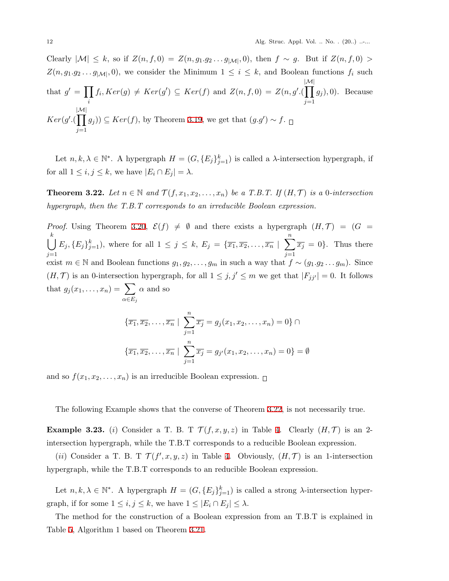Clearly  $|M|$  ≤ *k*, so if  $Z(n, f, 0) = Z(n, g_1, g_2, \ldots, g_{|M|}, 0)$ , then  $f ∼ g$ . But if  $Z(n, f, 0) >$  $Z(n, g_1, g_2, \ldots, g_{|\mathcal{M}|}, 0)$ , we consider the Minimum  $1 \leq i \leq k$ , and Boolean functions  $f_i$  such that  $g' = \prod$ *i*  $f_i, Ker(g) \neq Ker(g') \subseteq Ker(f)$  and  $Z(n, f, 0) = Z(n, g'.($ *|M|* ∏ *j*=1 *g<sup>j</sup>* )*,* 0). Because *Ker*(*g ′ .*( *|M|* ∏ *j*=1 *g*<sup>*j*</sup>)) ⊆ *Ker*(*f*), by Theorem [3.19,](#page-9-0) we get that  $(g.g') \sim f$ .

Let  $n, k, \lambda \in \mathbb{N}^*$ . A hypergraph  $H = (G, \{E_j\}_{j=1}^k)$  is called a  $\lambda$ -intersection hypergraph, if for all  $1 \leq i, j \leq k$ , we have  $|E_i \cap E_j| = \lambda$ .

<span id="page-11-0"></span>**Theorem 3.22.** Let  $n \in \mathbb{N}$  and  $\mathcal{T}(f, x_1, x_2, \ldots, x_n)$  be a T.B.T. If  $(H, \mathcal{T})$  is a 0*-intersection hypergraph, then the T.B.T corresponds to an irreducible Boolean expression.*

*Proof.* Using Theorem [3.20,](#page-9-1)  $\mathcal{E}(f) \neq \emptyset$  and there exists a hypergraph  $(H, \mathcal{T}) = (G =$ ∪ *k j*=1  $E_j, \{E_j\}_{j=1}^k$ ), where for all  $1 \leq j \leq k, E_j = \{\overline{x_1}, \overline{x_2}, \ldots, \overline{x_n} \mid \sum_{j=1}^n E_j$ *j*=1  $\overline{x_j} = 0$ . Thus there exist  $m \in \mathbb{N}$  and Boolean functions  $g_1, g_2, \ldots, g_m$  in such a way that  $f \sim (g_1, g_2, \ldots, g_m)$ . Since (*H,T*) is an 0-intersection hypergraph, for all  $1 \leq j, j' \leq m$  we get that  $|F_{jj'}| = 0$ . It follows that  $g_j(x_1, \ldots, x_n) = \sum$ *α∈E<sup>j</sup> α* and so

$$
\{\overline{x_1}, \overline{x_2}, \dots, \overline{x_n} \mid \sum_{j=1}^n \overline{x_j} = g_j(x_1, x_2, \dots, x_n) = 0\} \cap
$$

$$
\{\overline{x_1}, \overline{x_2}, \dots, \overline{x_n} \mid \sum_{j=1}^n \overline{x_j} = g_{j'}(x_1, x_2, \dots, x_n) = 0\} = \emptyset
$$

and so  $f(x_1, x_2, \ldots, x_n)$  is an irreducible Boolean expression.  $\Box$ 

The following Example shows that the converse of Theorem [3.22](#page-11-0), is not necessarily true.

**Example 3.23.** (*i*) Consider a T. B. T  $\mathcal{T}(f, x, y, z)$  in Table [4](#page-12-0). Clearly  $(H, \mathcal{T})$  is an 2intersection hypergraph, while the T.B.T corresponds to a reducible Boolean expression.

(*ii*) Consider a T. B. T  $\mathcal{T}(f',x,y,z)$  in Table [4](#page-12-0). Obviously,  $(H,\mathcal{T})$  is an 1-intersection hypergraph, while the T.B.T corresponds to an reducible Boolean expression.

Let  $n, k, \lambda \in \mathbb{N}^*$ . A hypergraph  $H = (G, \{E_j\}_{j=1}^k)$  is called a strong  $\lambda$ -intersection hypergraph, if for some  $1 \leq i, j \leq k$ , we have  $1 \leq |E_i \cap E_j| \leq \lambda$ .

The method for the construction of a Boolean expression from an T.B.T is explained in Table [5,](#page-13-0) Algorithm 1 based on Theorem [3.21](#page-10-0).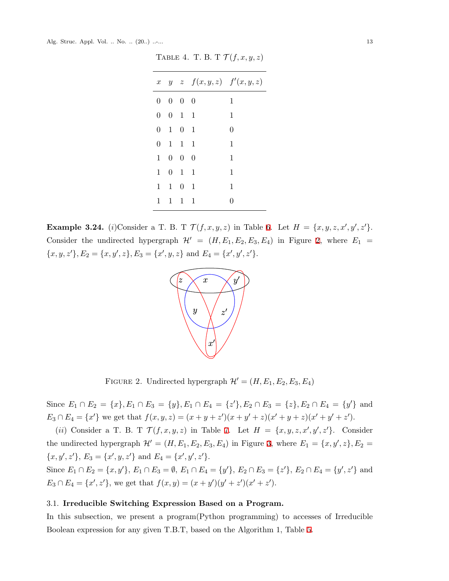|                |                             |                     | x $y \ z \ f(x,y,z) \ f'(x,y,z)$ |          |
|----------------|-----------------------------|---------------------|----------------------------------|----------|
|                | $0\quad 0\quad 0\quad 0$    |                     |                                  | 1        |
| $\overline{0}$ | $0 \quad 1 \quad 1$         |                     |                                  | 1        |
| $\overline{0}$ |                             | $1 \quad 0 \quad 1$ |                                  | $\Omega$ |
|                | $0 \t1 \t1 \t1$             |                     |                                  | 1        |
|                | $1 \quad 0 \quad 0 \quad 0$ |                     |                                  | 1        |
| $1 \quad$      |                             | $0 \quad 1 \quad 1$ |                                  | 1        |
| $\mathbf{1}$   |                             | $1 \quad 0 \quad 1$ |                                  | 1        |
| $\mathbf{1}$   |                             | $1 \quad 1 \quad 1$ |                                  | O        |
|                |                             |                     |                                  |          |

<span id="page-12-0"></span>TABLE 4. T. B. T  $\mathcal{T}(f, x, y, z)$ 

**Example 3.24.** (*i*)Consider a T. B. T  $\mathcal{T}(f, x, y, z)$  in Table [6.](#page-14-0) Let  $H = \{x, y, z, x', y', z'\}.$ Consider the undirected hypergraph  $\mathcal{H}' = (H, E_1, E_2, E_3, E_4)$  $\mathcal{H}' = (H, E_1, E_2, E_3, E_4)$  $\mathcal{H}' = (H, E_1, E_2, E_3, E_4)$  in Figure 2, where  $E_1 =$  $\{x, y, z'\}, E_2 = \{x, y', z\}, E_3 = \{x', y, z\}$  and  $E_4 = \{x', y', z'\}.$ 



<span id="page-12-1"></span>FIGURE 2. Undirected hypergraph  $\mathcal{H}' = (H, E_1, E_2, E_3, E_4)$ 

Since  $E_1 \cap E_2 = \{x\}, E_1 \cap E_3 = \{y\}, E_1 \cap E_4 = \{z'\}, E_2 \cap E_3 = \{z\}, E_2 \cap E_4 = \{y'\}$  and  $E_3 \cap E_4 = \{x'\}$  we get that  $f(x, y, z) = (x + y + z')(x + y' + z)(x' + y + z)(x' + y' + z').$ 

(*ii*) Consider a T. B. T  $\mathcal{T}(f, x, y, z)$  in Table [7.](#page-14-1) Let  $H = \{x, y, z, x', y', z'\}$ . Consider the undirected hypergraph  $\mathcal{H}' = (H, E_1, E_2, E_3, E_4)$  $\mathcal{H}' = (H, E_1, E_2, E_3, E_4)$  $\mathcal{H}' = (H, E_1, E_2, E_3, E_4)$  in Figure 3, where  $E_1 = \{x, y', z\}, E_2 =$  $\{x, y', z'\}, E_3 = \{x', y, z'\}$  and  $E_4 = \{x', y', z'\}.$ 

Since  $E_1 \cap E_2 = \{x, y'\}, E_1 \cap E_3 = \emptyset, E_1 \cap E_4 = \{y'\}, E_2 \cap E_3 = \{z'\}, E_2 \cap E_4 = \{y', z'\}$  and  $E_3 \cap E_4 = \{x', z'\}$ , we get that  $f(x, y) = (x + y')(y' + z')(x' + z')$ .

# 3.1. **Irreducible Switching Expression Based on a Program.**

In this subsection, we present a program(Python programming) to accesses of Irreducible Boolean expression for any given T.B.T, based on the Algorithm 1, Table [5](#page-13-0).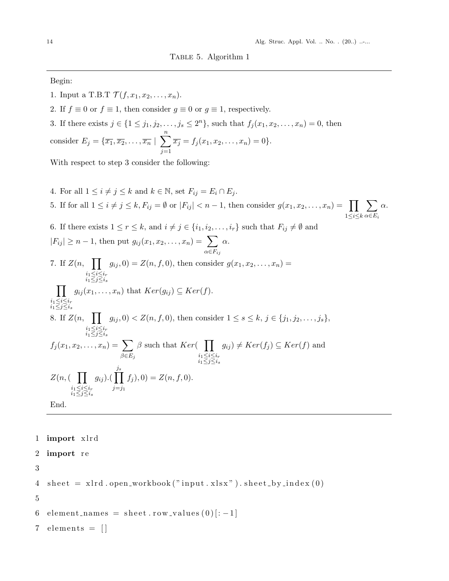<span id="page-13-0"></span>Begin:

- 1. Input a T.B.T  $\mathcal{T}(f, x_1, x_2, \ldots, x_n)$ .
- 2. If  $f \equiv 0$  or  $f \equiv 1$ , then consider  $g \equiv 0$  or  $g \equiv 1$ , respectively.
- 3. If there exists  $j \in \{1 \leq j_1, j_2, \ldots, j_s \leq 2^n\}$ , such that  $f_j(x_1, x_2, \ldots, x_n) = 0$ , then

consider  $E_j = \{ \overline{x_1}, \overline{x_2}, \dots, \overline{x_n} \mid \sum_{i=1}^n \}$ *j*=1  $\overline{x_j} = f_j(x_1, x_2, \ldots, x_n) = 0$ .

With respect to step 3 consider the following:

4. For all  $1 \leq i \neq j \leq k$  and  $k \in \mathbb{N}$ , set  $F_{ij} = E_i \cap E_j$ . 5. If for all  $1 \leq i \neq j \leq k$ ,  $F_{ij} = \emptyset$  or  $|F_{ij}| < n-1$ , then consider  $g(x_1, x_2, \ldots, x_n) = \prod$ 1*≤i≤k* ∑ *α∈E<sup>i</sup> α*. 6. If there exists  $1 \leq r \leq k$ , and  $i \neq j \in \{i_1, i_2, \ldots, i_r\}$  such that  $F_{ij} \neq \emptyset$  and  $|F_{ij}| \geq n-1$ , then put  $g_{ij}(x_1, x_2, \ldots, x_n) = \sum$ *α∈Fij α.* 7. If  $Z(n, \prod g_{ij}, 0) = Z(n, f, 0)$ , then consider  $g(x_1, x_2, ..., x_n) =$ *i*1*≤i≤i<sup>r</sup> i*1*≤j≤i<sup>s</sup>*  $\prod$  *g*<sub>ij</sub> $(x_1, \ldots, x_n)$  that  $Ker(g_{ij}) \subseteq Ker(f)$ . *i*1*≤i≤i<sup>r</sup> i*1*≤j≤i<sup>s</sup>* 8. If  $Z(n, \prod g_{ij}, 0) < Z(n, f, 0)$ , then consider  $1 \leq s \leq k, j \in \{j_1, j_2, \ldots, j_s\}$ , *i*1*≤i≤i<sup>r</sup> i*1*≤j≤i<sup>s</sup>*  $f_j(x_1, x_2, \ldots, x_n) = \sum$ *β∈E<sup>j</sup> β* such that *Ker*( ∏ *i*1*≤i≤i<sup>r</sup> i*1*≤j≤i<sup>s</sup>*  $g_{ij}$   $\neq$   $Ker(f_j) \subseteq$   $Ker(f)$  and *Z*(*n,*( ∏ *i*1*≤i≤i<sup>r</sup> i*1*≤j≤i<sup>s</sup>*  $g_{ij}$ ).(  $\prod$ <sup>*js*</sup> *j*=*j*<sup>1</sup>  $f_j$ , 0) =  $Z(n, f, 0)$ . End.

1 **import** xlrd 2 **import** re 3

```
4 sheet = xlrd.open_workbook("input.xlsx").sheet_by_index(0)
```
5

6 element\_names = sheet . row\_values  $(0)[:-1]$ 

 $7$  elements =  $\lceil \rceil$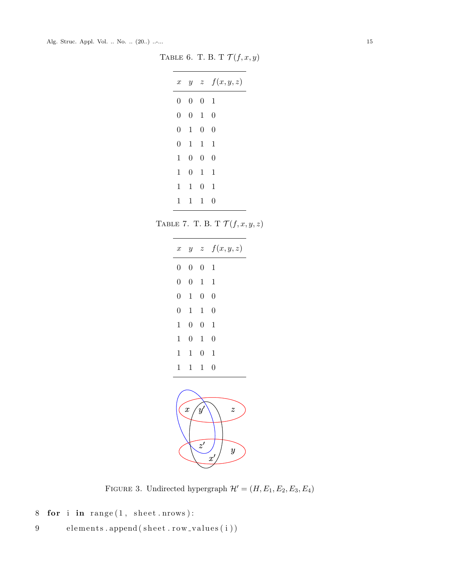TABLE 6. T. B. T $\mathcal{T}(f,x,y)$ 

<span id="page-14-0"></span>

| $\boldsymbol{x}$ |                  |                | $y \quad z \quad f(x,y,z)$ |
|------------------|------------------|----------------|----------------------------|
| $\overline{0}$   | $\boldsymbol{0}$ | $\overline{0}$ | $\overline{1}$             |
| $\overline{0}$   | $\overline{0}$   | -1             | $\overline{0}$             |
| 0                | 1                | $\overline{0}$ | $\overline{0}$             |
| 0                | 1                | $\overline{1}$ | 1                          |
| 1                | $\overline{0}$   | $\overline{0}$ | $\overline{0}$             |
| 1                | $\Omega$         | 1              | 1                          |
| 1                | 1                | 0              | 1                          |
| 1                | 1                | 1              | 0                          |

TABLE 7. T. B. T $\mathcal{T}(f,x,y,z)$ 

<span id="page-14-1"></span>

| $\boldsymbol{x}$                   |                |                | $y \quad z \quad f(x, y, z)$ |  |  |
|------------------------------------|----------------|----------------|------------------------------|--|--|
| $\overline{0}$                     | $\overline{0}$ | $\overline{0}$ | $\mathbf{1}$                 |  |  |
| $\overline{0}$                     | $\overline{0}$ | $\mathbf{1}$   | $\mathbf{1}$                 |  |  |
| $\overline{0}$                     | $\mathbf{1}$   | $\overline{0}$ | $\overline{0}$               |  |  |
| $\overline{0}$                     | $\mathbf{1}$   | $\mathbf{1}$   | $\overline{0}$               |  |  |
| $\mathbf{1}$                       | $\overline{0}$ | $\overline{0}$ | $\mathbf{1}$                 |  |  |
| $\mathbf{1}$                       | $\overline{0}$ | $\mathbf 1$    | $\overline{0}$               |  |  |
| $\mathbf{1}$                       | $\mathbf{1}$   | $\overline{0}$ | $\mathbf{1}$                 |  |  |
| $\mathbf 1$                        | $\mathbf{1}$   | $\mathbf{1}$   | $\overline{0}$               |  |  |
| $\boldsymbol{x}$<br>$\overline{z}$ |                |                |                              |  |  |



<span id="page-14-2"></span>FIGURE 3. Undirected hypergraph  $\mathcal{H}'=(H,E_1,E_2,E_3,E_4)$ 

```
8 for i in range(1, sheet . nrows):
```
9 elements.append (sheet.row\_values(i))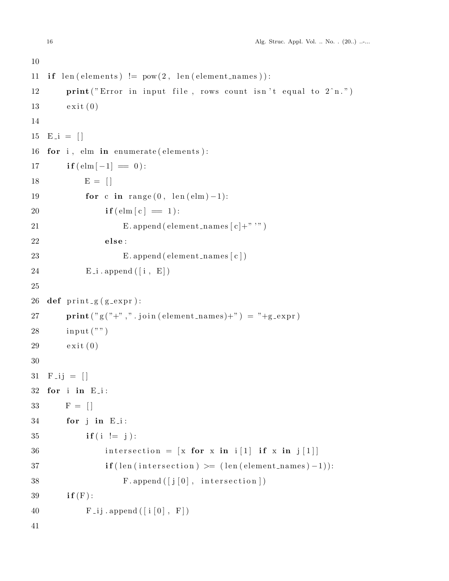```
10
11 if len (elements) != pow(2, len(element\_names)):
12 print ("Error in input file, rows count isn't equal to 2^nn.")
13 exit (0)14
15 E<sub>-i</sub> = [16 for i, elm in enumerate (elements):
17 if (\text{elm } -1] = 0):
18 E = []19 for c in range (0, \text{len}(\text{elm})-1):
20 if \text{(elm } c \, ] = 1:
21 E. append ( element _names [c]+'''' )
22 else:
23 E. append ( element_names [ c ] )
24 E_i. append ([i, E])
25
26 def print-g(g_{\text{-}}expr):
27 print ("g ("+", ". join (element\_names) +") = "+g\_expr)28 input ("")29 \qquad \qquad \text{exit}(0)30
31 \text{ F}-ij = []
32 for i in E i :
33 F = []34 for j in E i :
35 if (i := j):
36 intersection = [x \text{ for } x \text{ in } i] if [x \text{ in } j]\textbf{if} (\text{len}(\text{intersection}) \geq ( \text{len}(\text{element} \text{names}) - 1 ) ):
38 \t\t\t F.append([j[0], interestion])39 i f (F ) :
40 F_{-}ij . append ([i [0], F])41
```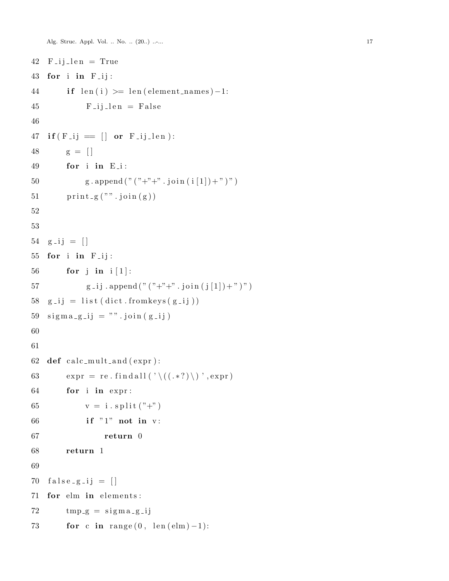Alg. Struc. Appl. Vol. .. No. .. (20..) ...... 17

```
42 F<sub>-ij-len</sub> = True
43 for i in F<sub>-ij</sub>:
44 i f l e n ( i ) >= l e n ( element names )−1:
45 F<sub>-ij-len</sub> = False
46
47 if (F_{-}ij = [] or F_{-}ij_{-}len :
48 \t\t\t g = []49 for i in E i :
50 g . append (" (" + " + " \cdot j \text{oin} ( i [1]) + " )")51 \text{print}_{-}g(""). join (g))52
53
54 g-ij = [55 for i in F<sub>-ij</sub>:
56 for j in i [ 1 ] :
57 g _ i j . append (" (" + " +" . j \text{oin} (j [1]) + " )")58 \text{ g}_{-}ij = \text{list} (\text{dict}.\text{fromkeys}(g_{-}ij))59 \text{ sigma}_{g} - jj = " " \text{join}(g_{-}ij)60
61
62 def calc_mult_and (expr):
63 expr = re. find all (\prime \setminus ((. \cdot ?) \setminus) ', expr)
64 for i in expr :
65 v = i \cdot s \text{plit} (^{"+}"')66 if "1" not in v:
67 return 0
68 return 1
69
70 false_{g}-ij = [71 for elm in elements:
72 \quad \text{tmp-g} = \text{sigma-g} - \text{ij}73 for c in range (0, \text{len}( \text{elm}) - 1):
```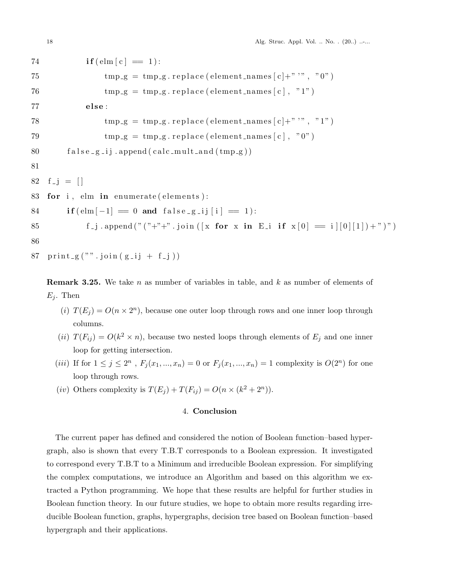| 74 | $if(\text{elm } [c] \equiv 1):$                                       |
|----|-----------------------------------------------------------------------|
| 75 | $tmp_g = tmp_g.\nreplace(element\_names[c] + " " " 0")$               |
| 76 | $tmp_g = tmp_g.\nreplace(element\_names[c], "1")$                     |
| 77 | else:                                                                 |
| 78 | $tmp_g = tmp_g.\nreplace(element\_names[c] + " " " "1")$              |
| 79 | $tmp_g = tmp_g.\nreplace(element\_names[c], "0")$                     |
| 80 | $false_g$ <sub>ij</sub> .append(calc_mult_and(tmp <sub>-g)</sub> )    |
| 81 |                                                                       |
|    | 82 $f_{-}j = []$                                                      |
|    | 83 for i, elm in enumerate (elements):                                |
| 84 | $if (elm[-1] = 0 and false_{g} = ij[i] = 1):$                         |
| 85 | f_j .append("("+"+" .join([x for x in E_i if $x[0] = i [0 [1 ]+")$ ") |
| 86 |                                                                       |
|    |                                                                       |

```
87 print_g("", join(g_i] + f_j))
```
**Remark 3.25.** We take *n* as number of variables in table, and *k* as number of elements of  $E_j$ . Then

- (*i*)  $T(E_j) = O(n \times 2^n)$ , because one outer loop through rows and one inner loop through columns.
- (*ii*)  $T(F_{ij}) = O(k^2 \times n)$ , because two nested loops through elements of  $E_j$  and one inner loop for getting intersection.
- (*iii*) If for  $1 \leq j \leq 2^n$ ,  $F_j(x_1, ..., x_n) = 0$  or  $F_j(x_1, ..., x_n) = 1$  complexity is  $O(2^n)$  for one loop through rows.
- (*iv*) Others complexity is  $T(E_j) + T(F_{ij}) = O(n \times (k^2 + 2^n)).$

# 4. **Conclusion**

The current paper has defined and considered the notion of Boolean function–based hypergraph, also is shown that every T.B.T corresponds to a Boolean expression. It investigated to correspond every T.B.T to a Minimum and irreducible Boolean expression. For simplifying the complex computations, we introduce an Algorithm and based on this algorithm we extracted a Python programming. We hope that these results are helpful for further studies in Boolean function theory. In our future studies, we hope to obtain more results regarding irreducible Boolean function, graphs, hypergraphs, decision tree based on Boolean function–based hypergraph and their applications.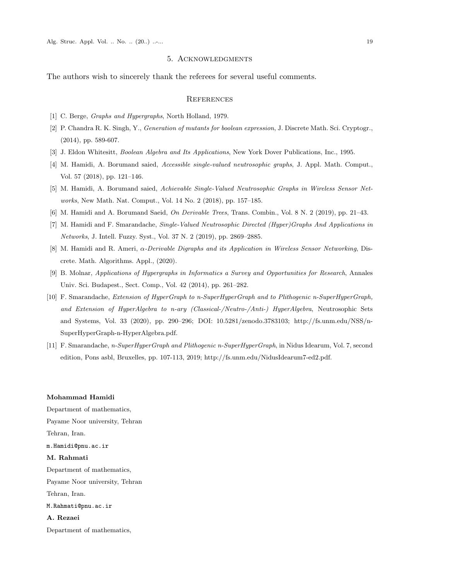#### 5. Acknowledgments

The authors wish to sincerely thank the referees for several useful comments.

### **REFERENCES**

- <span id="page-18-5"></span>[1] C. Berge, *Graphs and Hypergraphs*, North Holland, 1979.
- <span id="page-18-9"></span>[2] P. Chandra R. K. Singh, Y., *Generation of mutants for boolean expression*, J. Discrete Math. Sci. Cryptogr., (2014), pp. 589-607.
- <span id="page-18-10"></span>[3] J. Eldon Whitesitt, *Boolean Algebra and Its Applications*, New York Dover Publications, Inc., 1995.
- <span id="page-18-0"></span>[4] M. Hamidi, A. Borumand saied, *Accessible single-valued neutrosophic graphs*, J. Appl. Math. Comput., Vol. 57 (2018), pp. 121–146.
- <span id="page-18-1"></span>[5] M. Hamidi, A. Borumand saied, *Achievable Single-Valued Neutrosophic Graphs in Wireless Sensor Networks*, New Math. Nat. Comput., Vol. 14 No. 2 (2018), pp. 157–185.
- <span id="page-18-6"></span>[6] M. Hamidi and A. Borumand Saeid, *On Derivable Trees*, Trans. Combin., Vol. 8 N. 2 (2019), pp. 21–43.
- <span id="page-18-7"></span>[7] M. Hamidi and F. Smarandache, *Single-Valued Neutrosophic Directed (Hyper)Graphs And Applications in Networks*, J. Intell. Fuzzy. Syst., Vol. 37 N. 2 (2019), pp. 2869–2885.
- <span id="page-18-8"></span>[8] M. Hamidi and R. Ameri, *α-Derivable Digraphs and its Application in Wireless Sensor Networking*, Discrete. Math. Algorithms. Appl., (2020).
- <span id="page-18-2"></span>[9] B. Molnar, *Applications of Hypergraphs in Informatics a Survey and Opportunities for Research*, Annales Univ. Sci. Budapest., Sect. Comp., Vol. 42 (2014), pp. 261–282.
- <span id="page-18-3"></span>[10] F. Smarandache, *Extension of HyperGraph to n-SuperHyperGraph and to Plithogenic n-SuperHyperGraph, and Extension of HyperAlgebra to n-ary (Classical-/Neutro-/Anti-) HyperAlgebra*, Neutrosophic Sets and Systems, Vol. 33 (2020), pp. 290–296; DOI: 10.5281/zenodo.3783103; http://fs.unm.edu/NSS/n-SuperHyperGraph-n-HyperAlgebra.pdf.
- <span id="page-18-4"></span>[11] F. Smarandache, *n-SuperHyperGraph and Plithogenic n-SuperHyperGraph*, in Nidus Idearum, Vol. 7, second edition, Pons asbl, Bruxelles, pp. 107-113, 2019; http://fs.unm.edu/NidusIdearum7-ed2.pdf.

#### **Mohammad Hamidi**

Department of mathematics, Payame Noor university, Tehran Tehran, Iran. m.Hamidi@pnu.ac.ir **M. Rahmati** Department of mathematics, Payame Noor university, Tehran Tehran, Iran. M.Rahmati@pnu.ac.ir **A. Rezaei** Department of mathematics,